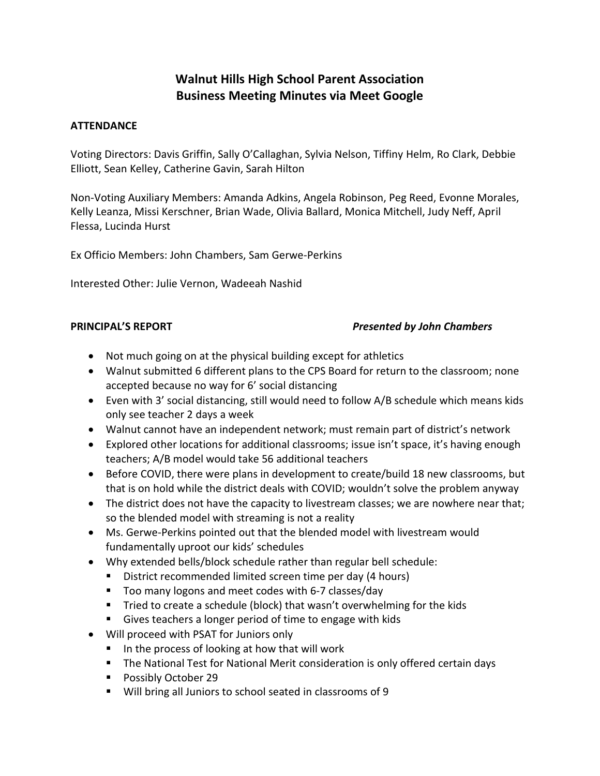# **Walnut Hills High School Parent Association Business Meeting Minutes via Meet Google**

### **ATTENDANCE**

Voting Directors: Davis Griffin, Sally O'Callaghan, Sylvia Nelson, Tiffiny Helm, Ro Clark, Debbie Elliott, Sean Kelley, Catherine Gavin, Sarah Hilton

Non-Voting Auxiliary Members: Amanda Adkins, Angela Robinson, Peg Reed, Evonne Morales, Kelly Leanza, Missi Kerschner, Brian Wade, Olivia Ballard, Monica Mitchell, Judy Neff, April Flessa, Lucinda Hurst

Ex Officio Members: John Chambers, Sam Gerwe-Perkins

Interested Other: Julie Vernon, Wadeeah Nashid

### **PRINCIPAL'S REPORT** *Presented by John Chambers*

- Not much going on at the physical building except for athletics
- Walnut submitted 6 different plans to the CPS Board for return to the classroom; none accepted because no way for 6' social distancing
- Even with 3' social distancing, still would need to follow A/B schedule which means kids only see teacher 2 days a week
- Walnut cannot have an independent network; must remain part of district's network
- Explored other locations for additional classrooms; issue isn't space, it's having enough teachers; A/B model would take 56 additional teachers
- Before COVID, there were plans in development to create/build 18 new classrooms, but that is on hold while the district deals with COVID; wouldn't solve the problem anyway
- The district does not have the capacity to livestream classes; we are nowhere near that; so the blended model with streaming is not a reality
- Ms. Gerwe-Perkins pointed out that the blended model with livestream would fundamentally uproot our kids' schedules
- Why extended bells/block schedule rather than regular bell schedule:
	- District recommended limited screen time per day (4 hours)
	- Too many logons and meet codes with 6-7 classes/day
	- Tried to create a schedule (block) that wasn't overwhelming for the kids
	- Gives teachers a longer period of time to engage with kids
- Will proceed with PSAT for Juniors only
	- In the process of looking at how that will work
	- The National Test for National Merit consideration is only offered certain days
	- Possibly October 29
	- Will bring all Juniors to school seated in classrooms of 9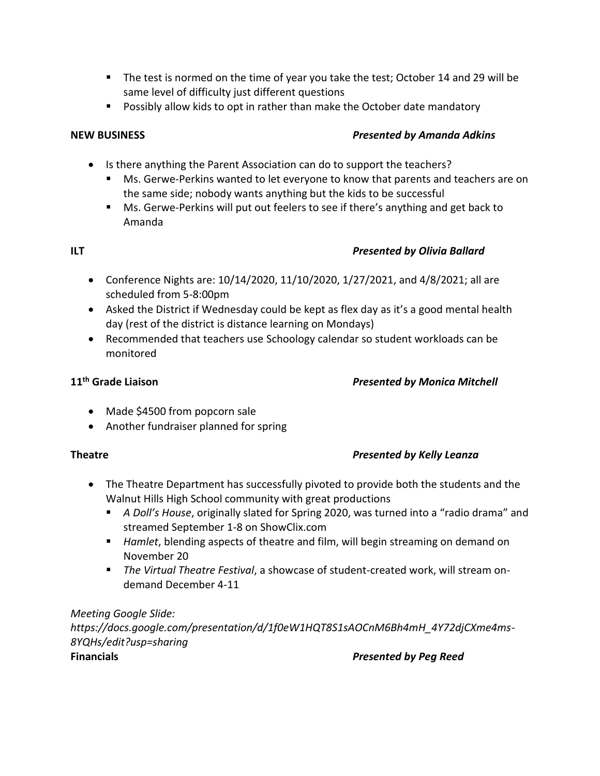- The test is normed on the time of year you take the test; October 14 and 29 will be same level of difficulty just different questions
- Possibly allow kids to opt in rather than make the October date mandatory

# **NEW BUSINESS** *Presented by Amanda Adkins*

- Is there anything the Parent Association can do to support the teachers?
	- Ms. Gerwe-Perkins wanted to let everyone to know that parents and teachers are on the same side; nobody wants anything but the kids to be successful
	- Ms. Gerwe-Perkins will put out feelers to see if there's anything and get back to Amanda

### **ILT** *Presented by Olivia Ballard*

- Conference Nights are: 10/14/2020, 11/10/2020, 1/27/2021, and 4/8/2021; all are scheduled from 5-8:00pm
- Asked the District if Wednesday could be kept as flex day as it's a good mental health day (rest of the district is distance learning on Mondays)
- Recommended that teachers use Schoology calendar so student workloads can be monitored

# **11th Grade Liaison** *Presented by Monica Mitchell*

- Made \$4500 from popcorn sale
- Another fundraiser planned for spring

# **Theatre** *Presented by Kelly Leanza*

- The Theatre Department has successfully pivoted to provide both the students and the Walnut Hills High School community with great productions
	- *A Doll's House*, originally slated for Spring 2020, was turned into a "radio drama" and streamed September 1-8 on ShowClix.com
	- *Hamlet*, blending aspects of theatre and film, will begin streaming on demand on November 20
	- *The Virtual Theatre Festival*, a showcase of student-created work, will stream ondemand December 4-11

*Meeting Google Slide: https://docs.google.com/presentation/d/1f0eW1HQT8S1sAOCnM6Bh4mH\_4Y72djCXme4ms-8YQHs/edit?usp=sharing* **Financials** *Presented by Peg Reed*